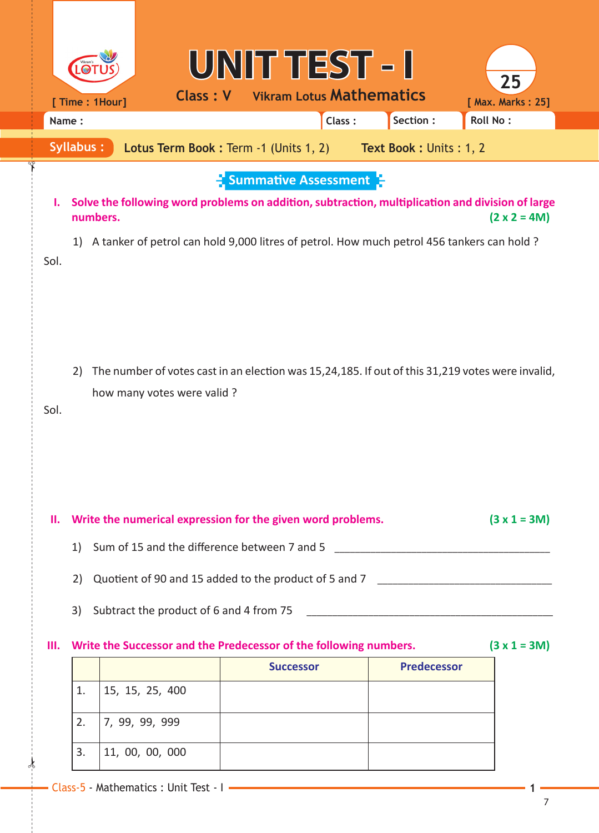|                                                                                     |                                                                                     |                                                                                        |                            | UNIT TEST - I                                    |                                 |  |                    | 25                                                                                                                                                                                                                    |  |  |
|-------------------------------------------------------------------------------------|-------------------------------------------------------------------------------------|----------------------------------------------------------------------------------------|----------------------------|--------------------------------------------------|---------------------------------|--|--------------------|-----------------------------------------------------------------------------------------------------------------------------------------------------------------------------------------------------------------------|--|--|
|                                                                                     |                                                                                     | [ Time: 1Hour]                                                                         | Class: V                   |                                                  | <b>Vikram Lotus Mathematics</b> |  |                    | [ Max. Marks: 25]                                                                                                                                                                                                     |  |  |
| Name:                                                                               |                                                                                     |                                                                                        |                            |                                                  | Class:                          |  | Section:           | <b>Roll No:</b>                                                                                                                                                                                                       |  |  |
| <b>Syllabus:</b><br>Lotus Term Book: Term -1 (Units 1, 2)<br>Text Book: Units: 1, 2 |                                                                                     |                                                                                        |                            |                                                  |                                 |  |                    |                                                                                                                                                                                                                       |  |  |
| Ъ.<br>Sol.                                                                          | 1)                                                                                  | numbers.                                                                               |                            | $\frac{1}{2}$ Summative Assessment $\frac{1}{2}$ |                                 |  |                    | Solve the following word problems on addition, subtraction, multiplication and division of large<br>$(2 \times 2 = 4M)$<br>A tanker of petrol can hold 9,000 litres of petrol. How much petrol 456 tankers can hold ? |  |  |
| Sol.                                                                                | 2)                                                                                  |                                                                                        | how many votes were valid? |                                                  |                                 |  |                    | The number of votes cast in an election was 15,24,185. If out of this 31,219 votes were invalid,                                                                                                                      |  |  |
| Ш.                                                                                  |                                                                                     | Write the numerical expression for the given word problems.<br>$(3 x 1 = 3M)$          |                            |                                                  |                                 |  |                    |                                                                                                                                                                                                                       |  |  |
|                                                                                     | 1)                                                                                  |                                                                                        |                            |                                                  |                                 |  |                    |                                                                                                                                                                                                                       |  |  |
|                                                                                     |                                                                                     |                                                                                        |                            |                                                  |                                 |  |                    |                                                                                                                                                                                                                       |  |  |
|                                                                                     |                                                                                     | Quotient of 90 and 15 added to the product of 5 and 7 __________________________<br>2) |                            |                                                  |                                 |  |                    |                                                                                                                                                                                                                       |  |  |
|                                                                                     | 3)                                                                                  |                                                                                        |                            |                                                  |                                 |  |                    |                                                                                                                                                                                                                       |  |  |
| Ш.                                                                                  | Write the Successor and the Predecessor of the following numbers.<br>$(3 x 1 = 3M)$ |                                                                                        |                            |                                                  |                                 |  |                    |                                                                                                                                                                                                                       |  |  |
|                                                                                     |                                                                                     |                                                                                        |                            |                                                  | <b>Successor</b>                |  | <b>Predecessor</b> |                                                                                                                                                                                                                       |  |  |
|                                                                                     | 1.                                                                                  |                                                                                        | 15, 15, 25, 400            |                                                  |                                 |  |                    |                                                                                                                                                                                                                       |  |  |
|                                                                                     | 2.                                                                                  |                                                                                        | 7, 99, 99, 999             |                                                  |                                 |  |                    |                                                                                                                                                                                                                       |  |  |
|                                                                                     | 3.                                                                                  |                                                                                        | 11, 00, 00, 000            |                                                  |                                 |  |                    |                                                                                                                                                                                                                       |  |  |
|                                                                                     |                                                                                     |                                                                                        |                            |                                                  |                                 |  |                    |                                                                                                                                                                                                                       |  |  |

 $\frac{1}{2}$ 

✁